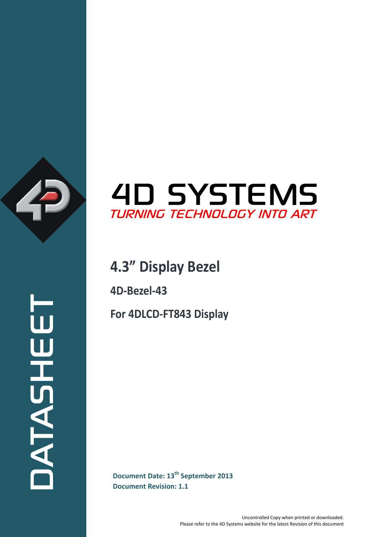

# **4D SYSTEMS** TURNING TECHNOLOGY INTO ART

### **4.3" Display Bezel**

**4D-Bezel-43**

**For 4DLCD-FT843 Display**

**Document Date: 13<sup>th</sup> September 2013**<br>
Document Revision: 1.1 **Document Revision: 1.1**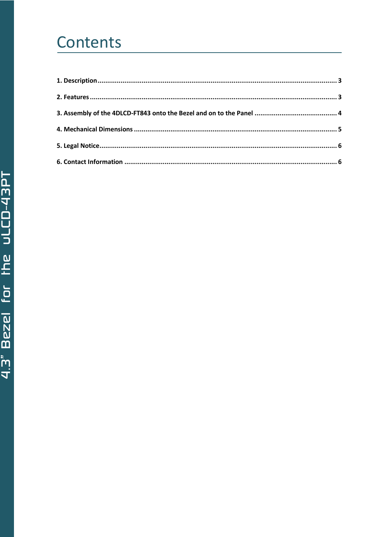## Contents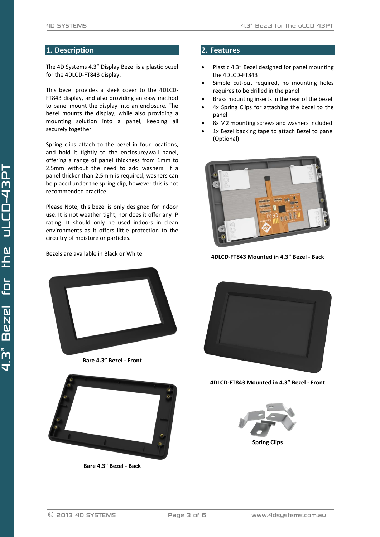#### <span id="page-2-0"></span>**1. Description**

The 4D Systems 4.3" Display Bezel is a plastic bezel for the 4DLCD-FT843 display.

This bezel provides a sleek cover to the 4DLCD-FT843 display, and also providing an easy method to panel mount the display into an enclosure. The bezel mounts the display, while also providing a mounting solution into a panel, keeping all securely together.

Spring clips attach to the bezel in four locations, and hold it tightly to the enclosure/wall panel, offering a range of panel thickness from 1mm to 2.5mm without the need to add washers. If a panel thicker than 2.5mm is required, washers can be placed under the spring clip, however this is not recommended practice.

Please Note, this bezel is only designed for indoor use. It is not weather tight, nor does it offer any IP rating. It should only be used indoors in clean environments as it offers little protection to the circuitry of moisture or particles.

Bezels are available in Black or White.



**Bare 4.3" Bezel - Front**



**Bare 4.3" Bezel - Back**

#### <span id="page-2-1"></span>**2. Features**

- Plastic 4.3" Bezel designed for panel mounting the 4DLCD-FT843
- Simple cut-out required, no mounting holes requires to be drilled in the panel
- Brass mounting inserts in the rear of the bezel
- 4x Spring Clips for attaching the bezel to the panel
- 8x M2 mounting screws and washers included
- 1x Bezel backing tape to attach Bezel to panel (Optional)



**4DLCD-FT843 Mounted in 4.3" Bezel - Back**



**4DLCD-FT843 Mounted in 4.3" Bezel - Front**

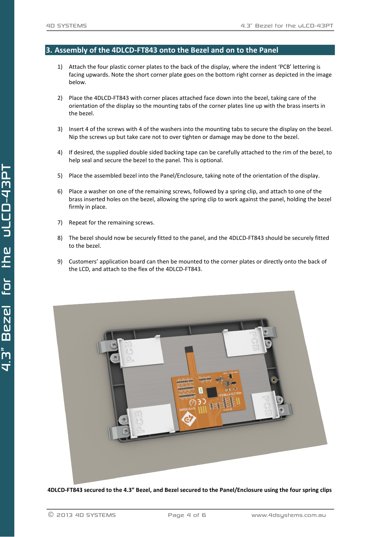#### <span id="page-3-0"></span>**3. Assembly of the 4DLCD-FT843 onto the Bezel and on to the Panel**

- 1) Attach the four plastic corner plates to the back of the display, where the indent 'PCB' lettering is facing upwards. Note the short corner plate goes on the bottom right corner as depicted in the image below.
- 2) Place the 4DLCD-FT843 with corner places attached face down into the bezel, taking care of the orientation of the display so the mounting tabs of the corner plates line up with the brass inserts in the bezel.
- 3) Insert 4 of the screws with 4 of the washers into the mounting tabs to secure the display on the bezel. Nip the screws up but take care not to over tighten or damage may be done to the bezel.
- 4) If desired, the supplied double sided backing tape can be carefully attached to the rim of the bezel, to help seal and secure the bezel to the panel. This is optional.
- 5) Place the assembled bezel into the Panel/Enclosure, taking note of the orientation of the display.
- 6) Place a washer on one of the remaining screws, followed by a spring clip, and attach to one of the brass inserted holes on the bezel, allowing the spring clip to work against the panel, holding the bezel firmly in place.
- 7) Repeat for the remaining screws.
- 8) The bezel should now be securely fitted to the panel, and the 4DLCD-FT843 should be securely fitted to the bezel.
- 9) Customers' application board can then be mounted to the corner plates or directly onto the back of the LCD, and attach to the flex of the 4DLCD-FT843.



**4DLCD-FT843 secured to the 4.3" Bezel, and Bezel secured to the Panel/Enclosure using the four spring clips**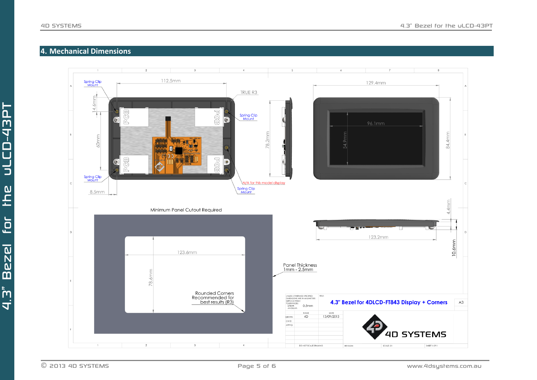### **4. Mechanical Dimensions**

<span id="page-4-0"></span>